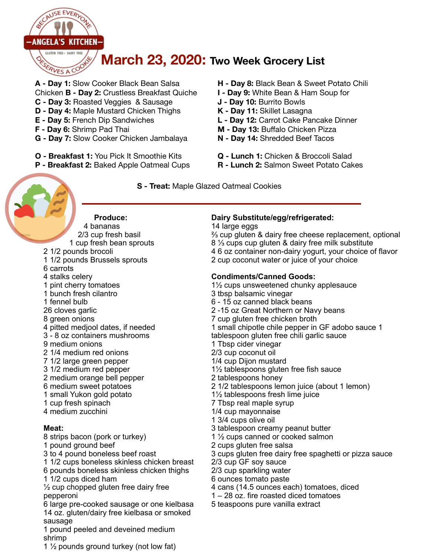

**A - Day 1:** Slow Cooker Black Bean Salsa Chicken **B - Day 2:** Crustless Breakfast Quiche

- **C Day 3:** Roasted Veggies & Sausage
- **D Day 4:** Maple Mustard Chicken Thighs
- **E Day 5:** French Dip Sandwiches
- **F Day 6:** Shrimp Pad Thai
- **G Day 7:** Slow Cooker Chicken Jambalaya
- **O Breakfast 1:** You Pick It Smoothie Kits
- **P Breakfast 2:** Baked Apple Oatmeal Cups

**H - Day 8:** Black Bean & Sweet Potato Chili

- **I Day 9:** White Bean & Ham Soup for
- **J Day 10:** Burrito Bowls
- **K Day 11:** Skillet Lasagna
- **L Day 12:** Carrot Cake Pancake Dinner
- **M Day 13:** Buffalo Chicken Pizza
- **N Day 14:** Shredded Beef Tacos
- **Q Lunch 1:** Chicken & Broccoli Salad
- **R Lunch 2:** Salmon Sweet Potato Cakes

 **S - Treat:** Maple Glazed Oatmeal Cookies



 **Produce:** 

4 bananas 2/3 cup fresh basil 1 cup fresh bean sprouts 2 1/2 pounds brocoli 1 1/2 pounds Brussels sprouts

- 6 carrots
- 
- 4 stalks celery
- 1 pint cherry tomatoes 1 bunch fresh cilantro
- 1 fennel bulb
- 26 cloves garlic
- 8 green onions
- 4 pitted medjool dates, if needed
- 3 8 oz containers mushrooms
- 9 medium onions
- 2 1/4 medium red onions
- 7 1/2 large green pepper
- 3 1/2 medium red pepper
- 2 medium orange bell pepper
- 6 medium sweet potatoes
- 1 small Yukon gold potato
- 1 cup fresh spinach 4 medium zucchini

## **Meat:**

8 strips bacon (pork or turkey) 1 pound ground beef 3 to 4 pound boneless beef roast 1 1/2 cups boneless skinless chicken breast 6 pounds boneless skinless chicken thighs 1 1/2 cups diced ham  $\frac{1}{2}$  cup chopped gluten free dairy free pepperoni 6 large pre-cooked sausage or one kielbasa 14 oz. gluten/dairy free kielbasa or smoked

sausage 1 pound peeled and deveined medium shrimp

1 ½ pounds ground turkey (not low fat)

## **Dairy Substitute/egg/refrigerated:**

#### 14 large eggs

⅔ cup gluten & dairy free cheese replacement, optional 8 ⅓ cups cup gluten & dairy free milk substitute 4 6 oz container non-dairy yogurt, your choice of flavor 2 cup coconut water or juice of your choice

## **Condiments/Canned Goods:**

1½ cups unsweetened chunky applesauce

- 3 tbsp balsamic vinegar
- 6 15 oz canned black beans
- 2 -15 oz Great Northern or Navy beans
- 7 cup gluten free chicken broth

1 small chipotle chile pepper in GF adobo sauce 1

tablespoon gluten free chili garlic sauce

- 1 Tbsp cider vinegar
- 2/3 cup coconut oil
- 1/4 cup Dijon mustard
- 1½ tablespoons gluten free fish sauce
- 2 tablespoons honey
- 2 1/2 tablespoons lemon juice (about 1 lemon)
- 1½ tablespoons fresh lime juice
- 7 Tbsp real maple syrup
- 1/4 cup mayonnaise
- 1 3/4 cups olive oil
- 3 tablespoon creamy peanut butter
- 1 ½ cups canned or cooked salmon
- 2 cups gluten free salsa
- 3 cups gluten free dairy free spaghetti or pizza sauce
- 2/3 cup GF soy sauce
- 2/3 cup sparkling water
- 6 ounces tomato paste
- 4 cans (14.5 ounces each) tomatoes, diced
- 1 28 oz. fire roasted diced tomatoes
- 5 teaspoons pure vanilla extract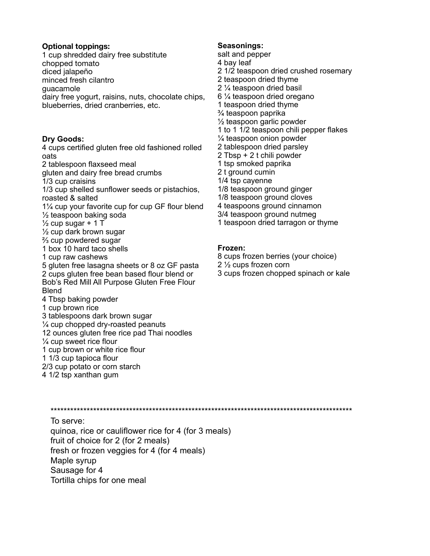#### **Optional toppings:**

1 cup shredded dairy free substitute chopped tomato diced jalapeño minced fresh cilantro guacamole dairy free yogurt, raisins, nuts, chocolate chips, blueberries, dried cranberries, etc.

#### **Dry Goods:**

4 cups certified gluten free old fashioned rolled oats 2 tablespoon flaxseed meal gluten and dairy free bread crumbs 1/3 cup craisins 1/3 cup shelled sunflower seeds or pistachios, roasted & salted 1¼ cup your favorite cup for cup GF flour blend ½ teaspoon baking soda  $\frac{1}{2}$  cup sugar + 1 T  $\frac{1}{2}$  cup dark brown sugar ⅔ cup powdered sugar

1 box 10 hard taco shells

1 cup raw cashews

5 gluten free lasagna sheets or 8 oz GF pasta 2 cups gluten free bean based flour blend or Bob's Red Mill All Purpose Gluten Free Flour Blend 4 Tbsp baking powder

- 1 cup brown rice
- 3 tablespoons dark brown sugar
- ¼ cup chopped dry-roasted peanuts
- 12 ounces gluten free rice pad Thai noodles
- ¼ cup sweet rice flour
- 1 cup brown or white rice flour
- 1 1/3 cup tapioca flour
- 2/3 cup potato or corn starch
- 4 1/2 tsp xanthan gum

#### **Seasonings:**

- salt and pepper 4 bay leaf 2 1/2 teaspoon dried crushed rosemary 2 teaspoon dried thyme 2 ¼ teaspoon dried basil 6 ¼ teaspoon dried oregano 1 teaspoon dried thyme ¾ teaspoon paprika ½ teaspoon garlic powder 1 to 1 1/2 teaspoon chili pepper flakes ¼ teaspoon onion powder 2 tablespoon dried parsley 2 Tbsp + 2 t chili powder 1 tsp smoked paprika 2 t ground cumin 1/4 tsp cayenne 1/8 teaspoon ground ginger 1/8 teaspoon ground cloves 4 teaspoons ground cinnamon 3/4 teaspoon ground nutmeg
- 1 teaspoon dried tarragon or thyme

#### **Frozen:**

- 8 cups frozen berries (your choice) 2 ½ cups frozen corn
- 3 cups frozen chopped spinach or kale

\*\*\*\*\*\*\*\*\*\*\*\*\*\*\*\*\*\*\*\*\*\*\*\*\*\*\*\*\*\*\*\*\*\*\*\*\*\*\*\*\*\*\*\*\*\*\*\*\*\*\*\*\*\*\*\*\*\*\*\*\*\*\*\*\*\*\*\*\*\*\*\*\*\*\*\*\*\*\*\*\*\*\*\*\*\*\*\*\*\*\*\*

To serve: quinoa, rice or cauliflower rice for 4 (for 3 meals) fruit of choice for 2 (for 2 meals) fresh or frozen veggies for 4 (for 4 meals) Maple syrup Sausage for 4 Tortilla chips for one meal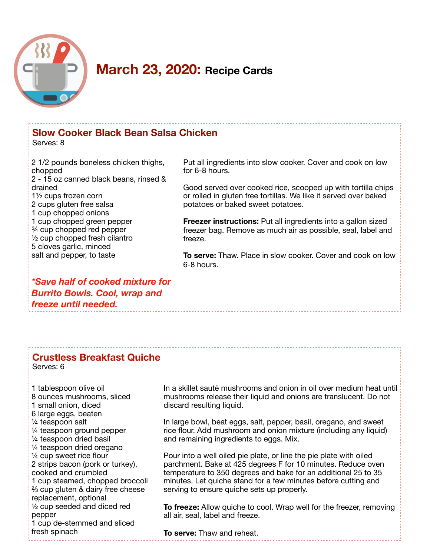

# **Slow Cooker Black Bean Salsa Chicken**

Serves: 8

2 1/2 pounds boneless chicken thighs, chopped 2 - 15 oz canned black beans, rinsed & drained 1½ cups frozen corn 2 cups gluten free salsa 1 cup chopped onions 1 cup chopped green pepper ¾ cup chopped red pepper ½ cup chopped fresh cilantro 5 cloves garlic, minced salt and pepper, to taste

Put all ingredients into slow cooker. Cover and cook on low for 6-8 hours.

Good served over cooked rice, scooped up with tortilla chips or rolled in gluten free tortillas. We like it served over baked potatoes or baked sweet potatoes.

**Freezer instructions:** Put all ingredients into a gallon sized freezer bag. Remove as much air as possible, seal, label and freeze.

**To serve:** Thaw. Place in slow cooker. Cover and cook on low 6-8 hours.

*\*Save half of cooked mixture for Burrito Bowls. Cool, wrap and freeze until needed.* 

## **Crustless Breakfast Quiche**

Serves: 6

1 tablespoon olive oil 8 ounces mushrooms, sliced 1 small onion, diced 6 large eggs, beaten ¼ teaspoon salt ¼ teaspoon ground pepper ¼ teaspoon dried basil ¼ teaspoon dried oregano ¼ cup sweet rice flour 2 strips bacon (pork or turkey), cooked and crumbled 1 cup steamed, chopped broccoli ⅔ cup gluten & dairy free cheese replacement, optional ½ cup seeded and diced red pepper 1 cup de-stemmed and sliced fresh spinach

In a skillet sauté mushrooms and onion in oil over medium heat until mushrooms release their liquid and onions are translucent. Do not discard resulting liquid.

In large bowl, beat eggs, salt, pepper, basil, oregano, and sweet rice flour. Add mushroom and onion mixture (including any liquid) and remaining ingredients to eggs. Mix.

Pour into a well oiled pie plate, or line the pie plate with oiled parchment. Bake at 425 degrees F for 10 minutes. Reduce oven temperature to 350 degrees and bake for an additional 25 to 35 minutes. Let quiche stand for a few minutes before cutting and serving to ensure quiche sets up properly.

**To freeze:** Allow quiche to cool. Wrap well for the freezer, removing all air, seal, label and freeze.

**To serve:** Thaw and reheat.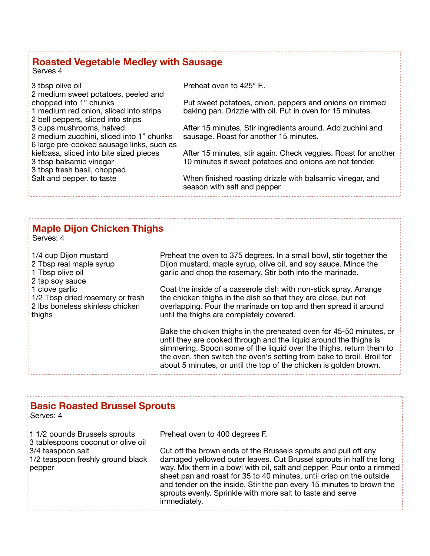## **Roasted Vegetable Medley with Sausage**

Serves 4

Preheat oven to 425° F..

3 tbsp olive oil 2 medium sweet potatoes, peeled and chopped into 1" chunks 1 medium red onion, sliced into strips 2 bell peppers, sliced into strips 3 cups mushrooms, halved 2 medium zucchini, sliced into 1" chunks 6 large pre-cooked sausage links, such as kielbasa, sliced into bite sized pieces 3 tbsp balsamic vinegar 3 tbsp fresh basil, chopped Salt and pepper. to taste

Put sweet potatoes, onion, peppers and onions on rimmed baking pan. Drizzle with oil. Put in oven for 15 minutes.

After 15 minutes, Stir ingredients around. Add zuchini and sausage. Roast for another 15 minutes.

After 15 minutes, stir again. Check veggies. Roast for another 10 minutes if sweet potatoes and onions are not tender.

When finished roasting drizzle with balsamic vinegar, and season with salt and pepper.

## **Maple Dijon Chicken Thighs**

Serves: 4

1/4 cup Dijon mustard 2 Tbsp real maple syrup 1 Tbsp olive oil 2 tsp soy sauce 1 clove garlic 1/2 Tbsp dried rosemary or fresh 2 lbs boneless skinless chicken thighs

Preheat the oven to 375 degrees. In a small bowl, stir together the Dijon mustard, maple syrup, olive oil, and soy sauce. Mince the garlic and chop the rosemary. Stir both into the marinade.

Coat the inside of a casserole dish with non-stick spray. Arrange the chicken thighs in the dish so that they are close, but not overlapping. Pour the marinade on top and then spread it around until the thighs are completely covered.

Bake the chicken thighs in the preheated oven for 45-50 minutes, or until they are cooked through and the liquid around the thighs is simmering. Spoon some of the liquid over the thighs, return them to the oven, then switch the oven's setting from bake to broil. Broil for about 5 minutes, or until the top of the chicken is golden brown.

## **Basic Roasted Brussel Sprouts**

Serves: 4

1 1/2 pounds Brussels sprouts 3 tablespoons coconut or olive oil 3/4 teaspoon salt 1/2 teaspoon freshly ground black pepper

Preheat oven to 400 degrees F.

Cut off the brown ends of the Brussels sprouts and pull off any damaged yellowed outer leaves. Cut Brussel sprouts in half the long way. Mix them in a bowl with oil, salt and pepper. Pour onto a rimmed sheet pan and roast for 35 to 40 minutes, until crisp on the outside and tender on the inside. Stir the pan every 15 minutes to brown the sprouts evenly. Sprinkle with more salt to taste and serve immediately.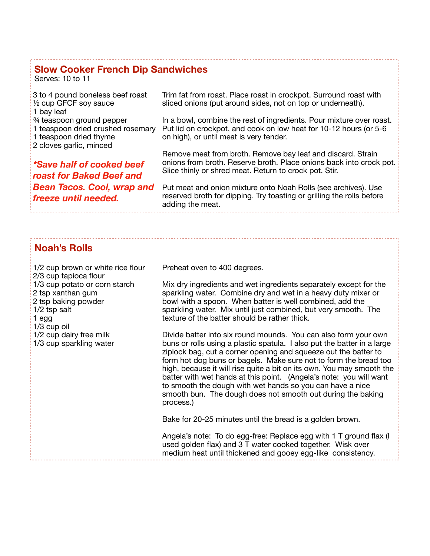## **Slow Cooker French Dip Sandwiches**

Serves: 10 to 11

| 3 to 4 pound boneless beef roast<br>$\frac{1}{2}$ cup GFCF soy sauce<br>1 bay leaf                                             | Trim fat from roast. Place roast in crockpot. Surround roast with<br>sliced onions (put around sides, not on top or underneath).                                                             |
|--------------------------------------------------------------------------------------------------------------------------------|----------------------------------------------------------------------------------------------------------------------------------------------------------------------------------------------|
| $\frac{1}{2}$ teaspoon ground pepper<br>1 teaspoon dried crushed rosemary<br>1 teaspoon dried thyme<br>2 cloves garlic, minced | In a bowl, combine the rest of ingredients. Pour mixture over roast.<br>Put lid on crockpot, and cook on low heat for 10-12 hours (or 5-6<br>on high), or until meat is very tender.         |
| *Save half of cooked beef<br>roast for Baked Beef and                                                                          | Remove meat from broth. Remove bay leaf and discard. Strain<br>onions from broth. Reserve broth. Place onions back into crock pot.<br>Slice thinly or shred meat. Return to crock pot. Stir. |
| <b>Bean Tacos. Cool, wrap and</b><br>freeze until needed.                                                                      | Put meat and onion mixture onto Noah Rolls (see archives). Use<br>reserved broth for dipping. Try toasting or grilling the rolls before<br>adding the meat.                                  |

## **Noah's Rolls**

1/2 cup brown or white rice flour 2/3 cup tapioca flour 1/3 cup potato or corn starch 2 tsp xanthan gum 2 tsp baking powder 1/2 tsp salt 1 egg 1/3 cup oil 1/2 cup dairy free milk 1/3 cup sparkling water

Preheat oven to 400 degrees.

Mix dry ingredients and wet ingredients separately except for the sparkling water. Combine dry and wet in a heavy duty mixer or bowl with a spoon. When batter is well combined, add the sparkling water. Mix until just combined, but very smooth. The texture of the batter should be rather thick.

Divide batter into six round mounds. You can also form your own buns or rolls using a plastic spatula. I also put the batter in a large ziplock bag, cut a corner opening and squeeze out the batter to form hot dog buns or bagels. Make sure not to form the bread too high, because it will rise quite a bit on its own. You may smooth the batter with wet hands at this point. (Angela's note: you will want to smooth the dough with wet hands so you can have a nice smooth bun. The dough does not smooth out during the baking process.)

Bake for 20-25 minutes until the bread is a golden brown.

Angela's note: To do egg-free: Replace egg with 1 T ground flax (I used golden flax) and 3 T water cooked together. Wisk over medium heat until thickened and gooey egg-like consistency.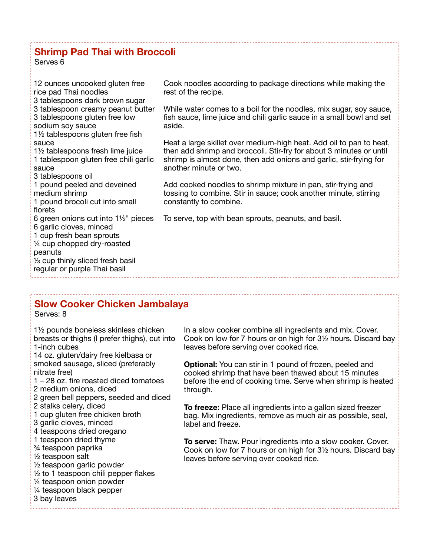## **Shrimp Pad Thai with Broccoli**

Serves 6

| 12 ounces uncooked gluten free<br>rice pad Thai noodles                                                                                                                                                               | Cook noodles according to package directions while making the<br>rest of the recipe.                                                                                                                                                       |  |
|-----------------------------------------------------------------------------------------------------------------------------------------------------------------------------------------------------------------------|--------------------------------------------------------------------------------------------------------------------------------------------------------------------------------------------------------------------------------------------|--|
| 3 tablespoons dark brown sugar<br>3 tablespoon creamy peanut butter<br>3 tablespoons gluten free low<br>sodium soy sauce<br>1 <sup>1</sup> / <sub>2</sub> tablespoons gluten free fish                                | While water comes to a boil for the noodles, mix sugar, soy sauce,<br>fish sauce, lime juice and chili garlic sauce in a small bowl and set<br>aside.                                                                                      |  |
| sauce<br>1 <sup>1</sup> / <sub>2</sub> tablespoons fresh lime juice<br>1 tablespoon gluten free chili garlic<br>sauce<br>3 tablespoons oil                                                                            | Heat a large skillet over medium-high heat. Add oil to pan to heat,<br>then add shrimp and broccoli. Stir-fry for about 3 minutes or until<br>shrimp is almost done, then add onions and garlic, stir-frying for<br>another minute or two. |  |
| 1 pound peeled and deveined<br>medium shrimp<br>1 pound brocoli cut into small<br>florets                                                                                                                             | Add cooked noodles to shrimp mixture in pan, stir-frying and<br>tossing to combine. Stir in sauce; cook another minute, stirring<br>constantly to combine.                                                                                 |  |
| 6 green onions cut into $1\frac{1}{2}$ " pieces<br>6 garlic cloves, minced<br>1 cup fresh bean sprouts<br>1/4 cup chopped dry-roasted<br>peanuts<br>1/3 cup thinly sliced fresh basil<br>regular or purple Thai basil | To serve, top with bean sprouts, peanuts, and basil.                                                                                                                                                                                       |  |
| <b>Slow Cooker Chicken Jambalaya</b>                                                                                                                                                                                  |                                                                                                                                                                                                                                            |  |
| <b>CAMILA</b>                                                                                                                                                                                                         |                                                                                                                                                                                                                                            |  |

Serves: 8

1½ pounds boneless skinless chicken breasts or thighs (I prefer thighs), cut into 1-inch cubes 14 oz. gluten/dairy free kielbasa or smoked sausage, sliced (preferably nitrate free) 1 – 28 oz. fire roasted diced tomatoes 2 medium onions, diced 2 green bell peppers, seeded and diced 2 stalks celery, diced 1 cup gluten free chicken broth 3 garlic cloves, minced 4 teaspoons dried oregano 1 teaspoon dried thyme ¾ teaspoon paprika ½ teaspoon salt ½ teaspoon garlic powder  $\frac{1}{2}$  to 1 teaspoon chili pepper flakes ¼ teaspoon onion powder ¼ teaspoon black pepper 3 bay leaves

In a slow cooker combine all ingredients and mix. Cover. Cook on low for 7 hours or on high for 3½ hours. Discard bay leaves before serving over cooked rice.

**Optional:** You can stir in 1 pound of frozen, peeled and cooked shrimp that have been thawed about 15 minutes before the end of cooking time. Serve when shrimp is heated through.

**To freeze:** Place all ingredients into a gallon sized freezer bag. Mix ingredients, remove as much air as possible, seal, label and freeze.

**To serve:** Thaw. Pour ingredients into a slow cooker. Cover. Cook on low for 7 hours or on high for 3½ hours. Discard bay leaves before serving over cooked rice.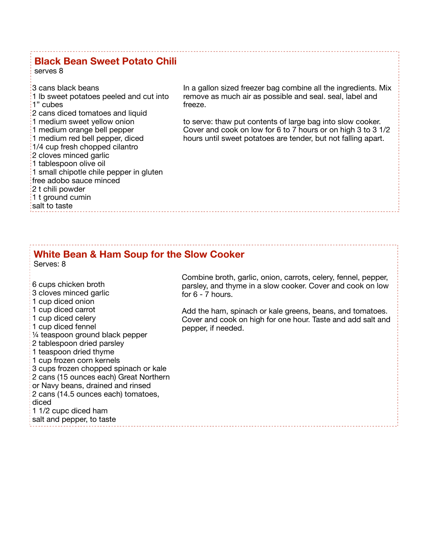## **Black Bean Sweet Potato Chili**

serves 8

3 cans black beans 1 lb sweet potatoes peeled and cut into 1" cubes 2 cans diced tomatoes and liquid 1 medium sweet yellow onion 1 medium orange bell pepper 1 medium red bell pepper, diced 1/4 cup fresh chopped cilantro 2 cloves minced garlic 1 tablespoon olive oil 1 small chipotle chile pepper in gluten free adobo sauce minced 2 t chili powder 1 t ground cumin salt to taste

In a gallon sized freezer bag combine all the ingredients. Mix remove as much air as possible and seal. seal, label and freeze.

to serve: thaw put contents of large bag into slow cooker. Cover and cook on low for 6 to 7 hours or on high 3 to 3 1/2 hours until sweet potatoes are tender, but not falling apart.

#### **White Bean & Ham Soup for the Slow Cooker**  Serves: 8

6 cups chicken broth 3 cloves minced garlic 1 cup diced onion 1 cup diced carrot 1 cup diced celery 1 cup diced fennel ¼ teaspoon ground black pepper 2 tablespoon dried parsley 1 teaspoon dried thyme 1 cup frozen corn kernels 3 cups frozen chopped spinach or kale 2 cans (15 ounces each) Great Northern or Navy beans, drained and rinsed 2 cans (14.5 ounces each) tomatoes, diced 1 1/2 cupc diced ham salt and pepper, to taste

Combine broth, garlic, onion, carrots, celery, fennel, pepper, parsley, and thyme in a slow cooker. Cover and cook on low for 6 - 7 hours.

Add the ham, spinach or kale greens, beans, and tomatoes. Cover and cook on high for one hour. Taste and add salt and pepper, if needed.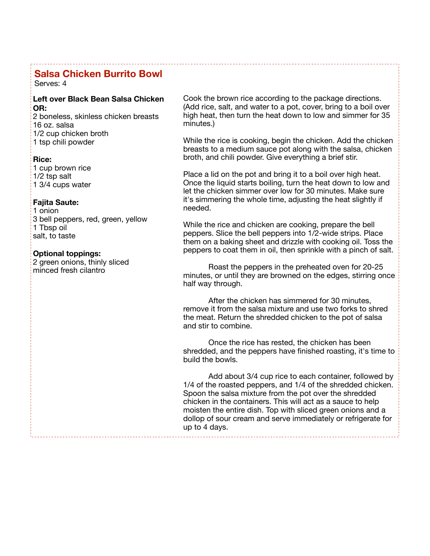## **Salsa Chicken Burrito Bowl**

Serves: 4

#### **Left over Black Bean Salsa Chicken OR:**

2 boneless, skinless chicken breasts 16 oz. salsa 1/2 cup chicken broth 1 tsp chili powder

#### **Rice:**

1 cup brown rice 1/2 tsp salt 1 3/4 cups water

#### **Fajita Saute:**

1 onion 3 bell peppers, red, green, yellow 1 Tbsp oil salt, to taste

#### **Optional toppings:**

2 green onions, thinly sliced minced fresh cilantro

Cook the brown rice according to the package directions. (Add rice, salt, and water to a pot, cover, bring to a boil over high heat, then turn the heat down to low and simmer for 35 minutes.)

While the rice is cooking, begin the chicken. Add the chicken breasts to a medium sauce pot along with the salsa, chicken broth, and chili powder. Give everything a brief stir.

Place a lid on the pot and bring it to a boil over high heat. Once the liquid starts boiling, turn the heat down to low and let the chicken simmer over low for 30 minutes. Make sure it's simmering the whole time, adjusting the heat slightly if needed.

While the rice and chicken are cooking, prepare the bell peppers. Slice the bell peppers into 1/2-wide strips. Place them on a baking sheet and drizzle with cooking oil. Toss the peppers to coat them in oil, then sprinkle with a pinch of salt.

Roast the peppers in the preheated oven for 20-25 minutes, or until they are browned on the edges, stirring once half way through.

After the chicken has simmered for 30 minutes, remove it from the salsa mixture and use two forks to shred the meat. Return the shredded chicken to the pot of salsa and stir to combine.

Once the rice has rested, the chicken has been shredded, and the peppers have finished roasting, it's time to build the bowls.

Add about 3/4 cup rice to each container, followed by 1/4 of the roasted peppers, and 1/4 of the shredded chicken. Spoon the salsa mixture from the pot over the shredded chicken in the containers. This will act as a sauce to help moisten the entire dish. Top with sliced green onions and a dollop of sour cream and serve immediately or refrigerate for up to 4 days.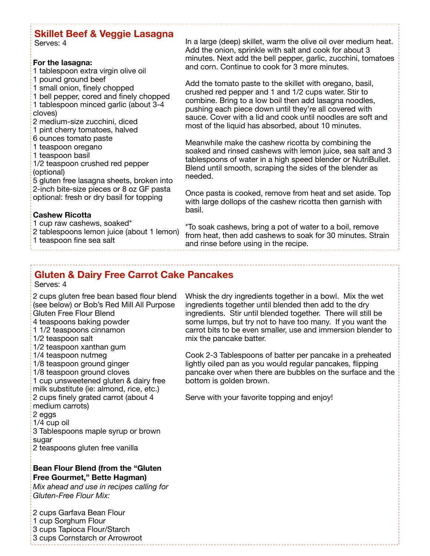# **Skillet Beef & Veggie Lasagna**

Serves: 4

#### **For the lasagna:**

- 1 tablespoon extra virgin olive oil 1 pound ground beef
- 1 small onion, finely chopped
- 1 bell pepper, cored and finely chopped 1 tablespoon minced garlic (about 3-4
- cloves)
- 2 medium-size zucchini, diced
- 1 pint cherry tomatoes, halved
- 6 ounces tomato paste
- 1 teaspoon oregano
- 1 teaspoon basil

1/2 teaspoon crushed red pepper (optional)

5 gluten free lasagna sheets, broken into 2-inch bite-size pieces or 8 oz GF pasta optional: fresh or dry basil for topping

### **Cashew Ricotta**

1 cup raw cashews, soaked\*

2 tablespoons lemon juice (about 1 lemon) 1 teaspoon fine sea salt

In a large (deep) skillet, warm the olive oil over medium heat. Add the onion, sprinkle with salt and cook for about 3 minutes. Next add the bell pepper, garlic, zucchini, tomatoes and corn. Continue to cook for 3 more minutes.

Add the tomato paste to the skillet with oregano, basil, crushed red pepper and 1 and 1/2 cups water. Stir to combine. Bring to a low boil then add lasagna noodles, pushing each piece down until they're all covered with sauce. Cover with a lid and cook until noodles are soft and most of the liquid has absorbed, about 10 minutes.

Meanwhile make the cashew ricotta by combining the soaked and rinsed cashews with lemon juice, sea salt and 3 tablespoons of water in a high speed blender or NutriBullet. Blend until smooth, scraping the sides of the blender as needed.

Once pasta is cooked, remove from heat and set aside. Top with large dollops of the cashew ricotta then garnish with basil.

\*To soak cashews, bring a pot of water to a boil, remove from heat, then add cashews to soak for 30 minutes. Strain and rinse before using in the recipe.

# **Gluten & Dairy Free Carrot Cake Pancakes**

Serves: 4

 2 cups gluten free bean based flour blend 4 teaspoons baking powder 11/2 teaspoons t **Bean Flour Blend (from the "Gluten Free Gourmet," Bette Hagman)**  (see below) or Bob's Red Mill All Purpose Gluten Free Flour Blend 1 1/2 teaspoons cinnamon 1/2 teaspoon xanthan gum 1/4 teaspoon nutmeg 1/8 teaspoon ground ginger 1/8 teaspoon ground cloves 1 cup unsweetened gluten & dairy free milk substitute (ie: almond, rice, etc.) 2 cups finely grated carrot (about 4 medium carrots) 2 eggs 1/4 cup oil 3 Tablespoons maple syrup or brown sugar 2 teaspoons gluten free vanilla

*Mix ahead and use in recipes calling for Gluten-Free Flour Mix:* 

2 cups Garfava Bean Flour 1 cup Sorghum Flour 3 cups Tapioca Flour/Starch 3 cups Cornstarch or Arrowroot Whisk the dry ingredients together in a bowl. Mix the wet ingredients together until blended then add to the dry ingredients. Stir until blended together. There will still be some lumps, but try not to have too many. If you want the carrot bits to be even smaller, use and immersion blender to mix the pancake batter.

Cook 2-3 Tablespoons of batter per pancake in a preheated lightly oiled pan as you would regular pancakes, flipping pancake over when there are bubbles on the surface and the bottom is golden brown.

Serve with your favorite topping and enjoy!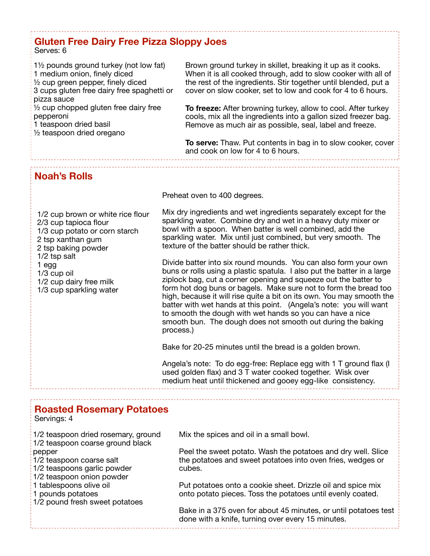## **Gluten Free Dairy Free Pizza Sloppy Joes**

#### Serves: 6

1½ pounds ground turkey (not low fat) 1 medium onion, finely diced ½ cup green pepper, finely diced 3 cups gluten free dairy free spaghetti or pizza sauce  $\frac{1}{2}$  cup chopped gluten free dairy free pepperoni 1 teaspoon dried basil

Brown ground turkey in skillet, breaking it up as it cooks. When it is all cooked through, add to slow cooker with all of the rest of the ingredients. Stir together until blended, put a cover on slow cooker, set to low and cook for 4 to 6 hours.

**To freeze:** After browning turkey, allow to cool. After turkey cools, mix all the ingredients into a gallon sized freezer bag. Remove as much air as possible, seal, label and freeze.

**To serve:** Thaw. Put contents in bag in to slow cooker, cover and cook on low for 4 to 6 hours.

**Noah's Rolls** 

½ teaspoon dried oregano

Preheat oven to 400 degrees.

Mix dry ingredients and wet ingredients separately except for the sparkling water. Combine dry and wet in a heavy duty mixer or bowl with a spoon. When batter is well combined, add the sparkling water. Mix until just combined, but very smooth. The texture of the batter should be rather thick.

Divide batter into six round mounds. You can also form your own buns or rolls using a plastic spatula. I also put the batter in a large ziplock bag, cut a corner opening and squeeze out the batter to form hot dog buns or bagels. Make sure not to form the bread too high, because it will rise quite a bit on its own. You may smooth the batter with wet hands at this point. (Angela's note: you will want to smooth the dough with wet hands so you can have a nice smooth bun. The dough does not smooth out during the baking process.)

Bake for 20-25 minutes until the bread is a golden brown.

Angela's note: To do egg-free: Replace egg with 1 T ground flax (I used golden flax) and  $3\bar{T}$  water cooked together. Wisk over medium heat until thickened and gooey egg-like consistency.

## **Roasted Rosemary Potatoes**

Servings: 4

 pepper 1/2 teaspoon dried rosemary, ground 1/2 teaspoon coarse ground black 1/2 teaspoon coarse salt 1/2 teaspoons garlic powder 1/2 teaspoon onion powder 1 tablespoons olive oil 1 pounds potatoes 1/2 pound fresh sweet potatoes

Mix the spices and oil in a small bowl.

Peel the sweet potato. Wash the potatoes and dry well. Slice the potatoes and sweet potatoes into oven fries, wedges or cubes.

Put potatoes onto a cookie sheet. Drizzle oil and spice mix onto potato pieces. Toss the potatoes until evenly coated.

Bake in a 375 oven for about 45 minutes, or until potatoes test done with a knife, turning over every 15 minutes.

1/2 cup brown or white rice flour 2/3 cup tapioca flour 1/3 cup potato or corn starch 2 tsp xanthan gum 2 tsp baking powder 1/2 tsp salt 1 egg 1/3 cup oil 1/2 cup dairy free milk 1/3 cup sparkling water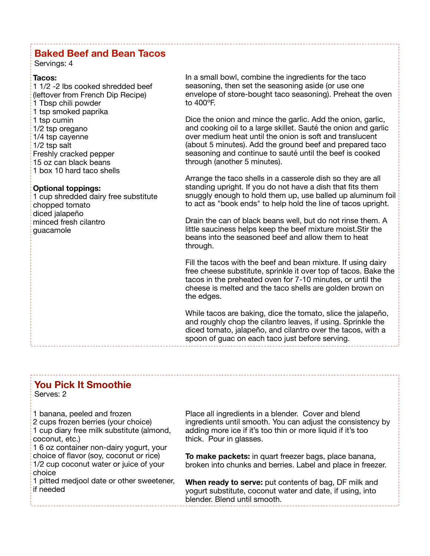## **Baked Beef and Bean Tacos**

Servings: 4

#### **Tacos:**

 (leftover from French Dip Recipe) 1 Tbsp chili powder 1 1/2 -2 lbs cooked shredded beef 1 tsp smoked paprika 1 tsp cumin 1/2 tsp oregano 1/4 tsp cayenne 1/2 tsp salt Freshly cracked pepper 15 oz can black beans 1 box 10 hard taco shells

#### **Optional toppings:**

1 cup shredded dairy free substitute chopped tomato diced jalapeño minced fresh cilantro guacamole

In a small bowl, combine the ingredients for the taco seasoning, then set the seasoning aside (or use one envelope of store-bought taco seasoning). Preheat the oven to 400ºF.

Dice the onion and mince the garlic. Add the onion, garlic, and cooking oil to a large skillet. Sauté the onion and garlic over medium heat until the onion is soft and translucent (about 5 minutes). Add the ground beef and prepared taco seasoning and continue to sauté until the beef is cooked through (another 5 minutes).

Arrange the taco shells in a casserole dish so they are all standing upright. If you do not have a dish that fits them snuggly enough to hold them up, use balled up aluminum foil to act as "book ends" to help hold the line of tacos upright.

Drain the can of black beans well, but do not rinse them. A little sauciness helps keep the beef mixture moist.Stir the beans into the seasoned beef and allow them to heat through.

Fill the tacos with the beef and bean mixture. If using dairy free cheese substitute, sprinkle it over top of tacos. Bake the tacos in the preheated oven for 7-10 minutes, or until the cheese is melted and the taco shells are golden brown on the edges.

While tacos are baking, dice the tomato, slice the jalapeño, and roughly chop the cilantro leaves, if using. Sprinkle the diced tomato, jalapeño, and cilantro over the tacos, with a spoon of guac on each taco just before serving.

## **You Pick It Smoothie**

Serves: 2

1 banana, peeled and frozen

2 cups frozen berries (your choice) 1 cup diary free milk substitute (almond, coconut, etc.)

1 6 oz container non-dairy yogurt, your choice of flavor (soy, coconut or rice) 1/2 cup coconut water or juice of your choice

1 pitted medjool date or other sweetener, if needed

Place all ingredients in a blender. Cover and blend ingredients until smooth. You can adjust the consistency by adding more ice if it's too thin or more liquid if it's too thick. Pour in glasses.

**To make packets:** in quart freezer bags, place banana, broken into chunks and berries. Label and place in freezer.

**When ready to serve:** put contents of bag, DF milk and yogurt substitute, coconut water and date, if using, into blender. Blend until smooth.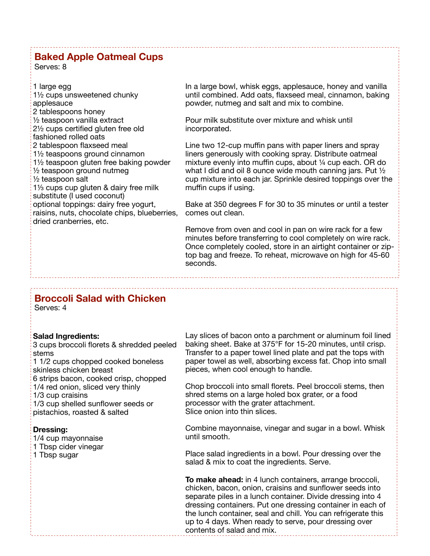### **Baked Apple Oatmeal Cups**

Serves: 8

1 large egg 1½ cups unsweetened chunky applesauce 2 tablespoons honey ½ teaspoon vanilla extract 2½ cups certified gluten free old fashioned rolled oats 2 tablespoon flaxseed meal 1½ teaspoons ground cinnamon 1½ teaspoon gluten free baking powder ½ teaspoon ground nutmeg ½ teaspoon salt 1⅓ cups cup gluten & dairy free milk substitute (I used coconut) optional toppings: dairy free yogurt, raisins, nuts, chocolate chips, blueberries, dried cranberries, etc.

In a large bowl, whisk eggs, applesauce, honey and vanilla until combined. Add oats, flaxseed meal, cinnamon, baking powder, nutmeg and salt and mix to combine.

Pour milk substitute over mixture and whisk until incorporated.

Line two 12-cup muffin pans with paper liners and spray liners generously with cooking spray. Distribute oatmeal mixture evenly into muffin cups, about ¼ cup each. OR do what I did and oil 8 ounce wide mouth canning jars. Put 1/2 cup mixture into each jar. Sprinkle desired toppings over the muffin cups if using.

Bake at 350 degrees F for 30 to 35 minutes or until a tester comes out clean.

Remove from oven and cool in pan on wire rack for a few minutes before transferring to cool completely on wire rack. Once completely cooled, store in an airtight container or ziptop bag and freeze. To reheat, microwave on high for 45-60 seconds.

## **Broccoli Salad with Chicken**

Serves: 4

#### **Salad Ingredients:**

3 cups broccoli florets & shredded peeled stems 1 1/2 cups chopped cooked boneless skinless chicken breast 6 strips bacon, cooked crisp, chopped 1/4 red onion, sliced very thinly

1/3 cup craisins

1/3 cup shelled sunflower seeds or pistachios, roasted & salted

#### **Dressing:**

1/4 cup mayonnaise 1 Tbsp cider vinegar 1 Tbsp sugar

Lay slices of bacon onto a parchment or aluminum foil lined baking sheet. Bake at 375°F for 15-20 minutes, until crisp. Transfer to a paper towel lined plate and pat the tops with paper towel as well, absorbing excess fat. Chop into small pieces, when cool enough to handle.

Chop broccoli into small florets. Peel broccoli stems, then shred stems on a large holed box grater, or a food processor with the grater attachment. Slice onion into thin slices.

Combine mayonnaise, vinegar and sugar in a bowl. Whisk until smooth.

Place salad ingredients in a bowl. Pour dressing over the salad & mix to coat the ingredients. Serve.

**To make ahead:** in 4 lunch containers, arrange broccoli, chicken, bacon, onion, craisins and sunflower seeds into separate piles in a lunch container. Divide dressing into 4 dressing containers. Put one dressing container in each of the lunch container, seal and chill. You can refrigerate this up to 4 days. When ready to serve, pour dressing over contents of salad and mix.